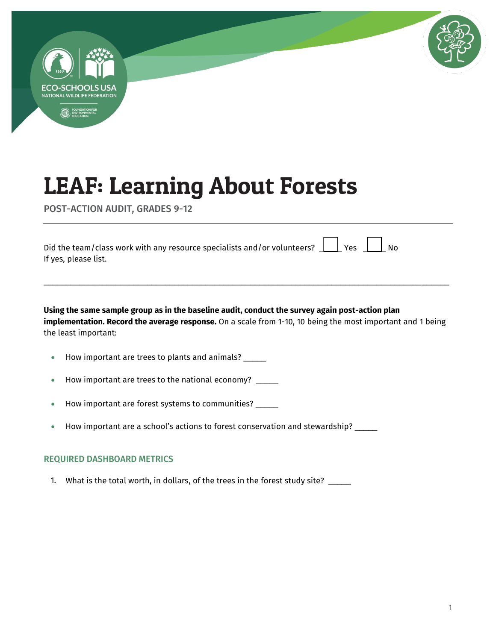

POST-ACTION AUDIT, GRADES 9-12

| Did the team/class work with any resource specialists and/or volunteers? $\Box$ Yes $\Box$ No |  |  |  |
|-----------------------------------------------------------------------------------------------|--|--|--|
| If yes, please list.                                                                          |  |  |  |

**Using the same sample group as in the baseline audit, conduct the survey again post-action plan implementation. Record the average response.** On a scale from 1-10, 10 being the most important and 1 being the least important:

\_\_\_\_\_\_\_\_\_\_\_\_\_\_\_\_\_\_\_\_\_\_\_\_\_\_\_\_\_\_\_\_\_\_\_\_\_\_\_\_\_\_\_\_\_\_\_\_\_\_\_\_\_\_\_\_\_\_\_\_\_\_\_\_\_\_\_\_\_\_\_\_\_\_\_\_\_\_\_\_\_\_\_\_\_\_\_\_\_\_

- How important are trees to plants and animals?
- How important are trees to the national economy?
- How important are forest systems to communities? \_\_\_\_\_
- $\bullet$  How important are a school's actions to forest conservation and stewardship? \_\_\_\_\_

#### REQUIRED DASHBOARD METRICS

1. What is the total worth, in dollars, of the trees in the forest study site? \_\_\_\_\_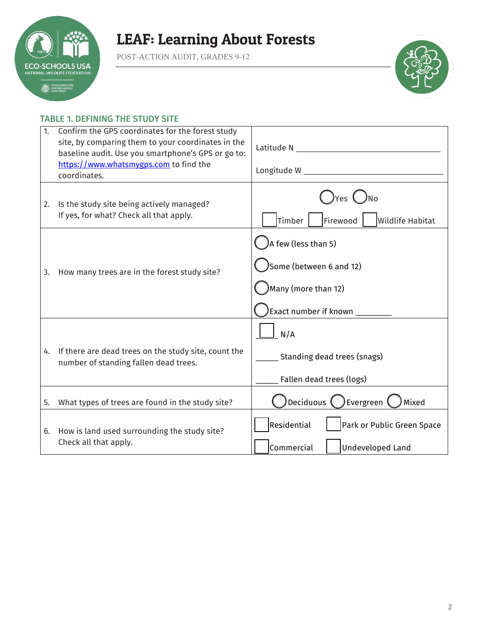

POST-ACTION AUDIT, GRADES 9-12



### TABLE 1. DEFINING THE STUDY SITE

| 1. | Confirm the GPS coordinates for the forest study<br>site, by comparing them to your coordinates in the<br>baseline audit. Use you smartphone's GPS or go to:<br>https://www.whatsmygps.com to find the<br>coordinates. | Latitude N and the control of the control of the control of the control of the control of the control of the control of the control of the control of the control of the control of the control of the control of the control<br>Longitude W and the contract of the contract of the contract of the contract of the contract of the contract o |
|----|------------------------------------------------------------------------------------------------------------------------------------------------------------------------------------------------------------------------|-------------------------------------------------------------------------------------------------------------------------------------------------------------------------------------------------------------------------------------------------------------------------------------------------------------------------------------------------|
| 2. | Is the study site being actively managed?<br>If yes, for what? Check all that apply.                                                                                                                                   | Yes ( <i>)</i> No<br>Timber  <br>Firewood<br><b>Wildlife Habitat</b>                                                                                                                                                                                                                                                                            |
| 3. | How many trees are in the forest study site?                                                                                                                                                                           | A few (less than 5)<br>Some (between 6 and 12)<br>Many (more than 12)<br>Exact number if known _____                                                                                                                                                                                                                                            |
| 4. | If there are dead trees on the study site, count the<br>number of standing fallen dead trees.                                                                                                                          | N/A<br>Standing dead trees (snags)<br>Fallen dead trees (logs)                                                                                                                                                                                                                                                                                  |
| 5. | What types of trees are found in the study site?                                                                                                                                                                       | Deciduous (<br>Evergreen <sup>(</sup><br>Mixed                                                                                                                                                                                                                                                                                                  |
| 6. | How is land used surrounding the study site?<br>Check all that apply.                                                                                                                                                  | Residential<br>Park or Public Green Space<br>Commercial<br><b>Undeveloped Land</b>                                                                                                                                                                                                                                                              |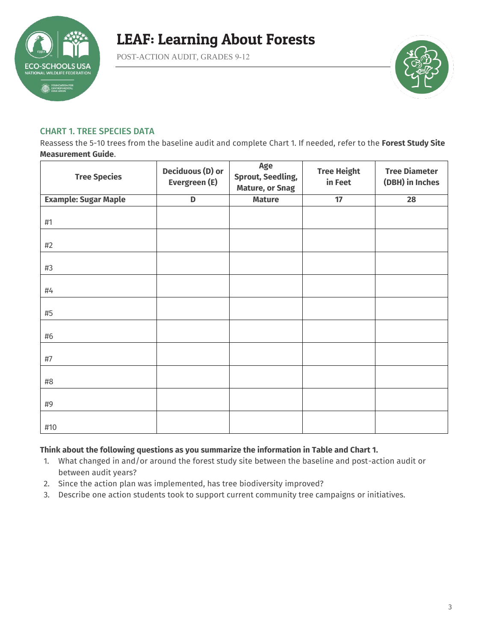

POST-ACTION AUDIT, GRADES 9-12



### CHART 1. TREE SPECIES DATA

Reassess the 5-10 trees from the baseline audit and complete Chart 1. If needed, refer to the **Forest Study Site Measurement Guide**.

| <b>Tree Species</b>         | <b>Deciduous (D) or</b><br>Evergreen (E) | Age<br><b>Sprout, Seedling,</b><br><b>Mature, or Snag</b> | <b>Tree Height</b><br>in Feet | <b>Tree Diameter</b><br>(DBH) in Inches |
|-----------------------------|------------------------------------------|-----------------------------------------------------------|-------------------------------|-----------------------------------------|
| <b>Example: Sugar Maple</b> | $\mathbf D$                              | <b>Mature</b>                                             | 17                            | 28                                      |
| #1                          |                                          |                                                           |                               |                                         |
| #2                          |                                          |                                                           |                               |                                         |
| #3                          |                                          |                                                           |                               |                                         |
| #4                          |                                          |                                                           |                               |                                         |
| #5                          |                                          |                                                           |                               |                                         |
| #6                          |                                          |                                                           |                               |                                         |
| #7                          |                                          |                                                           |                               |                                         |
| #8                          |                                          |                                                           |                               |                                         |
| #9                          |                                          |                                                           |                               |                                         |
| #10                         |                                          |                                                           |                               |                                         |

### **Think about the following questions as you summarize the information in Table and Chart 1.**

- 1. What changed in and/or around the forest study site between the baseline and post-action audit or between audit years?
- 2. Since the action plan was implemented, has tree biodiversity improved?
- 3. Describe one action students took to support current community tree campaigns or initiatives.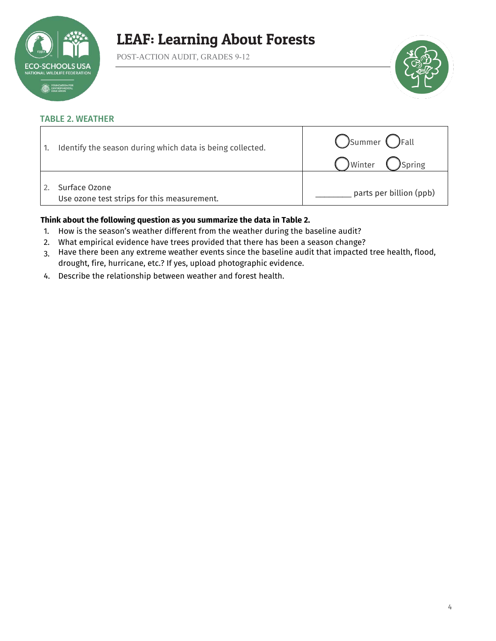

POST-ACTION AUDIT, GRADES 9-12



### TABLE 2. WEATHER

| Identify the season during which data is being collected.    | Summer <i>C</i> Fall<br>) Winter ( ) Spring |
|--------------------------------------------------------------|---------------------------------------------|
| Surface Ozone<br>Use ozone test strips for this measurement. | parts per billion (ppb)                     |

### **Think about the following question as you summarize the data in Table 2.**

- 1. How is the season's weather different from the weather during the baseline audit?
- 2. What empirical evidence have trees provided that there has been a season change?
- 3. Have there been any extreme weather events since the baseline audit that impacted tree health, flood, drought, fire, hurricane, etc.? If yes, upload photographic evidence.
- 4. Describe the relationship between weather and forest health.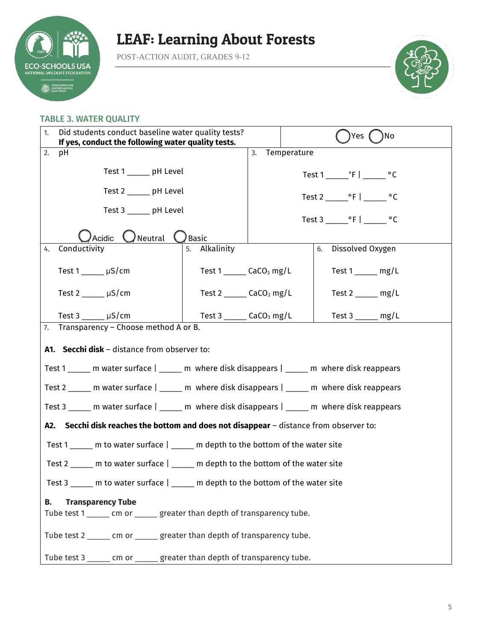

POST-ACTION AUDIT, GRADES 9-12



#### TABLE 3. WATER QUALITY

| Did students conduct baseline water quality tests?<br>1.<br>If yes, conduct the following water quality tests. |                                               |             | Yes (<br>No                                            |  |
|----------------------------------------------------------------------------------------------------------------|-----------------------------------------------|-------------|--------------------------------------------------------|--|
| 3.<br>2.<br>рH                                                                                                 |                                               | Temperature |                                                        |  |
| Test 1 ______ pH Level                                                                                         |                                               |             | Test $1 \_\cdot$ $\cdot$ F $\cdot$ $\_\cdot$ $\cdot$ C |  |
| Test 2 ______ pH Level                                                                                         |                                               |             |                                                        |  |
| Test 3 ______ pH Level                                                                                         |                                               |             | Test 3 $\degree$ F   $\degree$ C                       |  |
| Acidic<br>$\bigcup$ Neutral                                                                                    | Basic (                                       |             |                                                        |  |
| Conductivity<br>4.                                                                                             | 5. Alkalinity                                 |             | 6. Dissolved Oxygen                                    |  |
| Test $1 \_\_\_\$ µS/cm                                                                                         | Test $1$ _______ CaCO <sub>3</sub> mg/L       |             | Test $1 \_\_\_$ mg/L                                   |  |
| Test $2 \mu S/cm$                                                                                              | Test $2 \_\_\_\_\$ CaCO <sub>3</sub> mg/L     |             | Test $2 \_\_\_\_$ mg/L                                 |  |
| Test $3 \mu S/cm$                                                                                              | Test 3 $\qquad \qquad$ CaCO <sub>3</sub> mg/L |             | Test $3 \_\_\_\_\$ mg/L                                |  |
| 7. Transparency - Choose method A or B.                                                                        |                                               |             |                                                        |  |
| A1. Secchi disk - distance from observer to:                                                                   |                                               |             |                                                        |  |
| Test 1 _____ m water surface   _____ m where disk disappears   _____ m where disk reappears                    |                                               |             |                                                        |  |
| Test 2 _____ m water surface   _____ m where disk disappears   _____ m where disk reappears                    |                                               |             |                                                        |  |
| Test 3 _____ m water surface   _____ m where disk disappears   _____ m where disk reappears                    |                                               |             |                                                        |  |
| A2. Secchi disk reaches the bottom and does not disappear - distance from observer to:                         |                                               |             |                                                        |  |
| Test 1 ______ m to water surface   _____ m depth to the bottom of the water site                               |                                               |             |                                                        |  |
| Test 2 _____ m to water surface   _____ m depth to the bottom of the water site                                |                                               |             |                                                        |  |
| Test 3 _____ m to water surface   _____ m depth to the bottom of the water site                                |                                               |             |                                                        |  |
| <b>Transparency Tube</b><br>В.                                                                                 |                                               |             |                                                        |  |
| Tube test 1 ______ cm or ______ greater than depth of transparency tube.                                       |                                               |             |                                                        |  |
| Tube test 2 ______ cm or ______ greater than depth of transparency tube.                                       |                                               |             |                                                        |  |
| Tube test 3 ______ cm or _____ greater than depth of transparency tube.                                        |                                               |             |                                                        |  |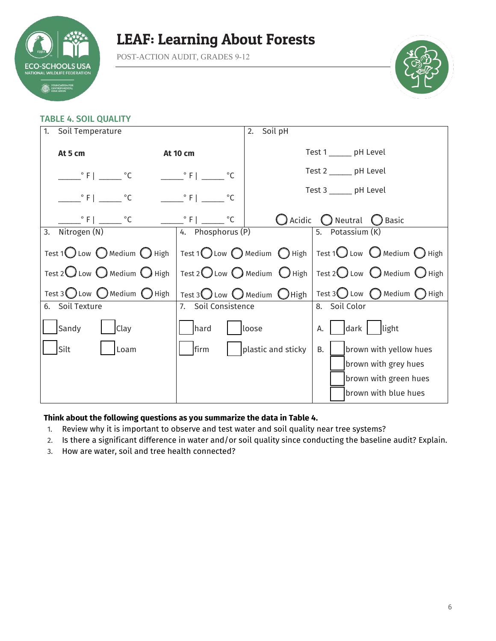

POST-ACTION AUDIT, GRADES 9-12



### TABLE 4. SOIL QUALITY

| Soil Temperature<br>1.                                  |                             | Soil pH<br>2.          |                                                                                                                   |  |
|---------------------------------------------------------|-----------------------------|------------------------|-------------------------------------------------------------------------------------------------------------------|--|
| At 5 cm<br><b>At 10 cm</b>                              |                             |                        | Test 1 ______ pH Level                                                                                            |  |
| $\degree$ F   $\degree$ C                               | $\degree$ F $\degree$ C     |                        | Test 2 ______ pH Level                                                                                            |  |
| $\degree$ F   $\degree$ C                               | $\circ$ F  <br>$^{\circ}C$  | Test 3 ______ pH Level |                                                                                                                   |  |
| $\degree$ F $\degree$ C                                 | $\circ$ F  <br>$^{\circ}$ C |                        | $\bigcirc$ Acidic $\bigcirc$ Neutral $\bigcirc$ Basic                                                             |  |
| Nitrogen (N)<br>3.                                      | 4. Phosphorus (P)           |                        | 5. Potassium (K)                                                                                                  |  |
| Test 1 $\bigcirc$ Low $\bigcirc$ Medium $\bigcirc$ High |                             |                        | Test 1 $\bigcirc$ Low $\bigcirc$ Medium $\bigcirc$ High   Test 1 $\bigcirc$ Low $\bigcirc$ Medium $\bigcirc$ High |  |
| Test 2 $\bigcup$ Low $\bigcirc$ Medium $\bigcirc$ High  |                             |                        | Test 2 Low $\bigcirc$ Medium $\bigcirc$ High   Test 2 Low $\bigcirc$ Medium $\bigcirc$ High                       |  |
| Test 3 Low $\bigcirc$ Medium $\bigcirc$ High            |                             |                        | Test 3 Low O Medium O High   Test 3 O Low O Medium O High                                                         |  |
| 6. Soil Texture                                         | 7. Soil Consistence         |                        | 8. Soil Color                                                                                                     |  |
| Sandy<br>Clay                                           | hard                        | loose                  | dark light<br>А.                                                                                                  |  |
| Silt<br>Loam                                            | firm                        | plastic and sticky     | <b>B.</b><br>brown with yellow hues                                                                               |  |
|                                                         |                             |                        | brown with grey hues                                                                                              |  |
|                                                         |                             |                        | brown with green hues                                                                                             |  |
|                                                         |                             |                        | brown with blue hues                                                                                              |  |

### **Think about the following questions as you summarize the data in Table 4.**

- 1. Review why it is important to observe and test water and soil quality near tree systems?
- 2. Is there a significant difference in water and/or soil quality since conducting the baseline audit? Explain.
- 3. How are water, soil and tree health connected?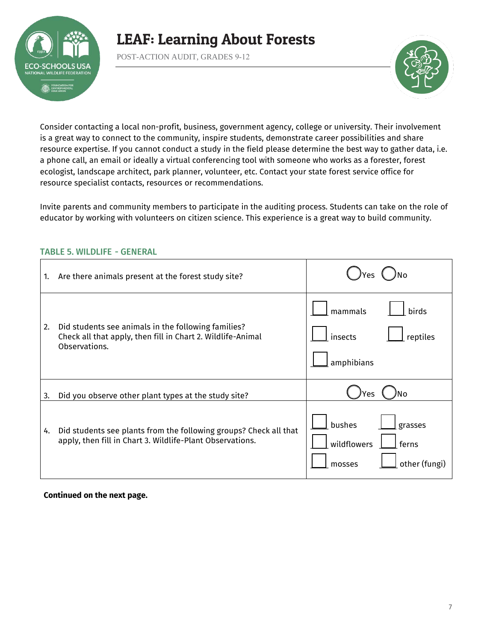

POST-ACTION AUDIT, GRADES 9-12



Consider contacting a local non-profit, business, government agency, college or university. Their involvement is a great way to connect to the community, inspire students, demonstrate career possibilities and share resource expertise. If you cannot conduct a study in the field please determine the best way to gather data, i.e. a phone call, an email or ideally a virtual conferencing tool with someone who works as a forester, forest ecologist, landscape architect, park planner, volunteer, etc. Contact your state forest service office for resource specialist contacts, resources or recommendations.

Invite parents and community members to participate in the auditing process. Students can take on the role of educator by working with volunteers on citizen science. This experience is a great way to build community.

| 1. | Are there animals present at the forest study site?                                                                                 |                                                                      |
|----|-------------------------------------------------------------------------------------------------------------------------------------|----------------------------------------------------------------------|
| 2. | Did students see animals in the following families?<br>Check all that apply, then fill in Chart 2. Wildlife-Animal<br>Observations. | mammals<br>birds<br>insects<br>reptiles<br>amphibians                |
| 3. | Did you observe other plant types at the study site?                                                                                | N٥<br>'es                                                            |
| 4. | Did students see plants from the following groups? Check all that<br>apply, then fill in Chart 3. Wildlife-Plant Observations.      | bushes<br>grasses<br>wildflowers<br>ferns<br>other (fungi)<br>mosses |

### TABLE 5. WILDLIFE - GENERAL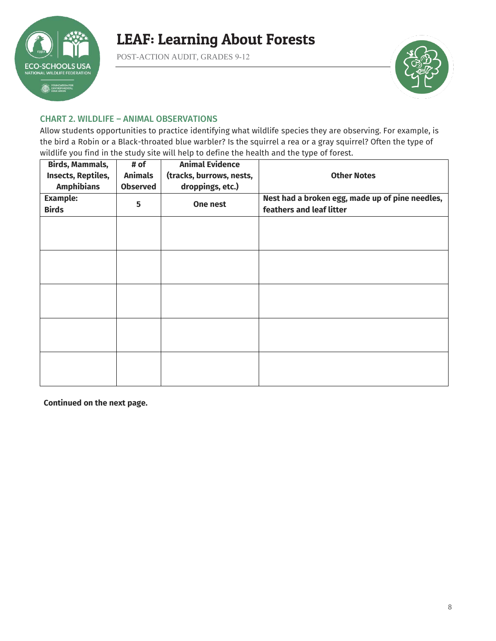

POST-ACTION AUDIT, GRADES 9-12



### CHART 2. WILDLIFE – ANIMAL OBSERVATIONS

Allow students opportunities to practice identifying what wildlife species they are observing. For example, is the bird a Robin or a Black-throated blue warbler? Is the squirrel a rea or a gray squirrel? Often the type of wildlife you find in the study site will help to define the health and the type of forest.

| <b>Birds, Mammals,</b><br>Insects, Reptiles,<br><b>Amphibians</b> | # of<br><b>Animals</b><br><b>Observed</b> | <b>Animal Evidence</b><br>(tracks, burrows, nests,<br>droppings, etc.) | <b>Other Notes</b>                                                          |
|-------------------------------------------------------------------|-------------------------------------------|------------------------------------------------------------------------|-----------------------------------------------------------------------------|
| <b>Example:</b><br><b>Birds</b>                                   | 5                                         | One nest                                                               | Nest had a broken egg, made up of pine needles,<br>feathers and leaf litter |
|                                                                   |                                           |                                                                        |                                                                             |
|                                                                   |                                           |                                                                        |                                                                             |
|                                                                   |                                           |                                                                        |                                                                             |
|                                                                   |                                           |                                                                        |                                                                             |
|                                                                   |                                           |                                                                        |                                                                             |
|                                                                   |                                           |                                                                        |                                                                             |
|                                                                   |                                           |                                                                        |                                                                             |
|                                                                   |                                           |                                                                        |                                                                             |
|                                                                   |                                           |                                                                        |                                                                             |
|                                                                   |                                           |                                                                        |                                                                             |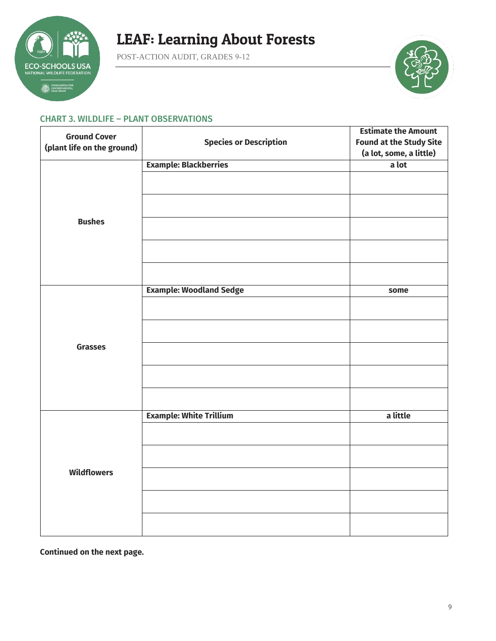

POST-ACTION AUDIT, GRADES 9-12



#### CHART 3. WILDLIFE – PLANT OBSERVATIONS

| <b>Ground Cover</b>        |                                | <b>Estimate the Amount</b>     |
|----------------------------|--------------------------------|--------------------------------|
| (plant life on the ground) | <b>Species or Description</b>  | <b>Found at the Study Site</b> |
|                            |                                | (a lot, some, a little)        |
|                            | <b>Example: Blackberries</b>   | a lot                          |
|                            |                                |                                |
|                            |                                |                                |
| <b>Bushes</b>              |                                |                                |
|                            |                                |                                |
|                            |                                |                                |
|                            | <b>Example: Woodland Sedge</b> | some                           |
|                            |                                |                                |
|                            |                                |                                |
| <b>Grasses</b>             |                                |                                |
|                            |                                |                                |
|                            |                                |                                |
|                            | <b>Example: White Trillium</b> | a little                       |
|                            |                                |                                |
|                            |                                |                                |
| <b>Wildflowers</b>         |                                |                                |
|                            |                                |                                |
|                            |                                |                                |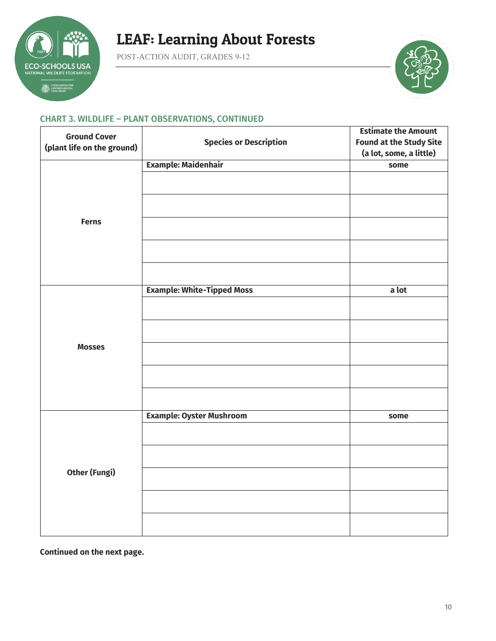

POST-ACTION AUDIT, GRADES 9-12



### CHART 3. WILDLIFE – PLANT OBSERVATIONS, CONTINUED

| <b>Ground Cover</b>        |                                   | <b>Estimate the Amount</b>     |
|----------------------------|-----------------------------------|--------------------------------|
| (plant life on the ground) | <b>Species or Description</b>     | <b>Found at the Study Site</b> |
|                            |                                   | (a lot, some, a little)        |
|                            | <b>Example: Maidenhair</b>        | some                           |
|                            |                                   |                                |
|                            |                                   |                                |
| <b>Ferns</b>               |                                   |                                |
|                            |                                   |                                |
|                            |                                   |                                |
|                            | <b>Example: White-Tipped Moss</b> | a lot                          |
|                            |                                   |                                |
|                            |                                   |                                |
| <b>Mosses</b>              |                                   |                                |
|                            |                                   |                                |
|                            |                                   |                                |
|                            | <b>Example: Oyster Mushroom</b>   | some                           |
|                            |                                   |                                |
|                            |                                   |                                |
| <b>Other (Fungi)</b>       |                                   |                                |
|                            |                                   |                                |
|                            |                                   |                                |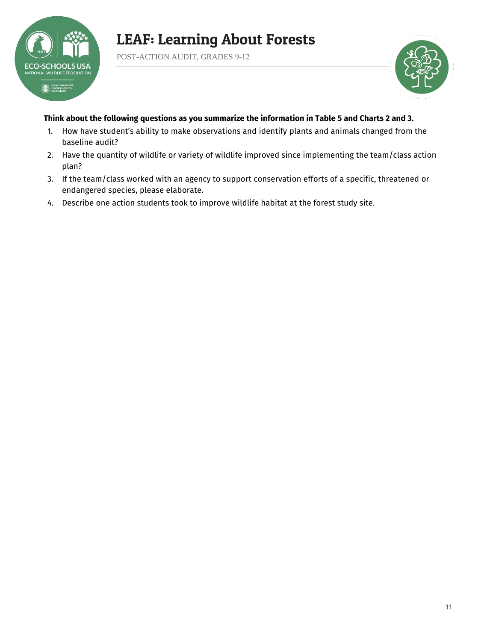

POST-ACTION AUDIT, GRADES 9-12



### **Think about the following questions as you summarize the information in Table 5 and Charts 2 and 3.**

- 1. How have student's ability to make observations and identify plants and animals changed from the baseline audit?
- 2. Have the quantity of wildlife or variety of wildlife improved since implementing the team/class action plan?
- 3. If the team/class worked with an agency to support conservation efforts of a specific, threatened or endangered species, please elaborate.
- 4. Describe one action students took to improve wildlife habitat at the forest study site.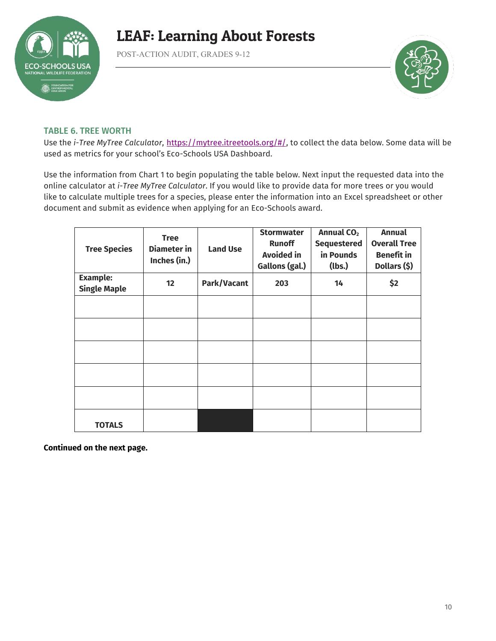

POST-ACTION AUDIT, GRADES 9-12



### TABLE 6. TREE WORTH

Use the *i-Tree MyTree Calculator*, [https://mytree.itreetools.org/#/,](https://mytree.itreetools.org/#/) to collect the data below. Some data will be used as metrics for your school's Eco-Schools USA Dashboard.

Use the information from Chart 1 to begin populating the table below. Next input the requested data into the online calculator at *i-Tree MyTree Calculator*. If you would like to provide data for more trees or you would like to calculate multiple trees for a species, please enter the information into an Excel spreadsheet or other document and submit as evidence when applying for an Eco-Schools award.

| <b>Tree Species</b>                    | <b>Tree</b><br><b>Diameter</b> in<br>Inches (in.) | <b>Land Use</b> | <b>Stormwater</b><br><b>Runoff</b><br><b>Avoided in</b><br>Gallons (gal.) | Annual CO <sub>2</sub><br><b>Sequestered</b><br>in Pounds<br>(lbs.) | <b>Annual</b><br><b>Overall Tree</b><br><b>Benefit in</b><br>Dollars (\$) |
|----------------------------------------|---------------------------------------------------|-----------------|---------------------------------------------------------------------------|---------------------------------------------------------------------|---------------------------------------------------------------------------|
| <b>Example:</b><br><b>Single Maple</b> | 12                                                | Park/Vacant     | 203                                                                       | 14                                                                  | \$2                                                                       |
|                                        |                                                   |                 |                                                                           |                                                                     |                                                                           |
|                                        |                                                   |                 |                                                                           |                                                                     |                                                                           |
|                                        |                                                   |                 |                                                                           |                                                                     |                                                                           |
|                                        |                                                   |                 |                                                                           |                                                                     |                                                                           |
|                                        |                                                   |                 |                                                                           |                                                                     |                                                                           |
| <b>TOTALS</b>                          |                                                   |                 |                                                                           |                                                                     |                                                                           |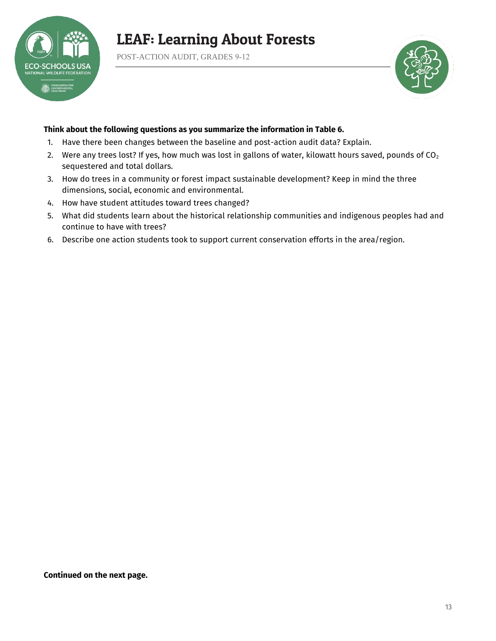

POST-ACTION AUDIT, GRADES 9-12



#### **Think about the following questions as you summarize the information in Table 6.**

- 1. Have there been changes between the baseline and post-action audit data? Explain.
- 2. Were any trees lost? If yes, how much was lost in gallons of water, kilowatt hours saved, pounds of  $CO<sub>2</sub>$ sequestered and total dollars.
- 3. How do trees in a community or forest impact sustainable development? Keep in mind the three dimensions, social, economic and environmental.
- 4. How have student attitudes toward trees changed?
- 5. What did students learn about the historical relationship communities and indigenous peoples had and continue to have with trees?
- 6. Describe one action students took to support current conservation efforts in the area/region.